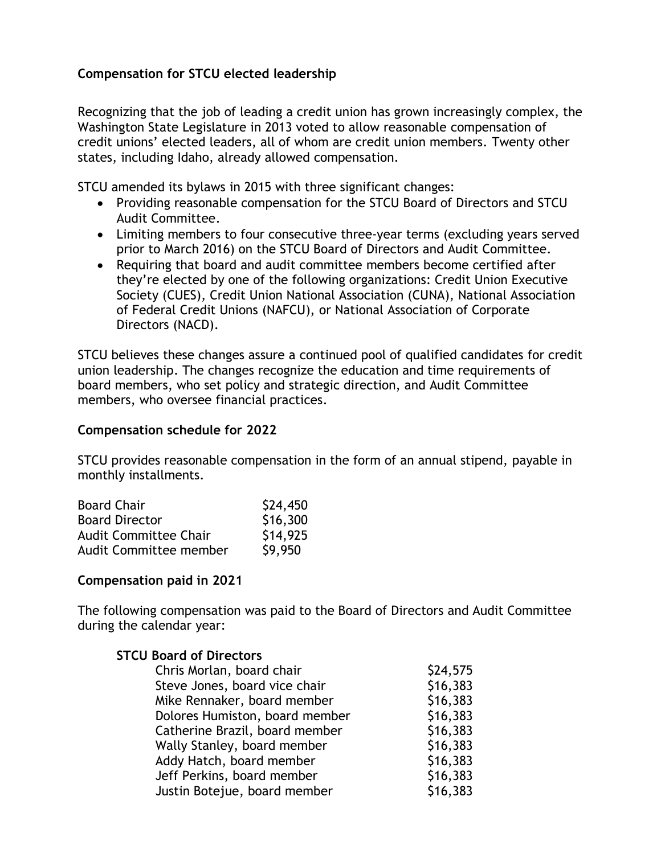## **Compensation for STCU elected leadership**

Recognizing that the job of leading a credit union has grown increasingly complex, the Washington State Legislature in 2013 voted to allow reasonable compensation of credit unions' elected leaders, all of whom are credit union members. Twenty other states, including Idaho, already allowed compensation.

STCU amended its bylaws in 2015 with three significant changes:

- Providing reasonable compensation for the STCU Board of Directors and STCU Audit Committee.
- Limiting members to four consecutive three-year terms (excluding years served prior to March 2016) on the STCU Board of Directors and Audit Committee.
- Requiring that board and audit committee members become certified after they're elected by one of the following organizations: Credit Union Executive Society (CUES), Credit Union National Association (CUNA), National Association of Federal Credit Unions (NAFCU), or National Association of Corporate Directors (NACD).

STCU believes these changes assure a continued pool of qualified candidates for credit union leadership. The changes recognize the education and time requirements of board members, who set policy and strategic direction, and Audit Committee members, who oversee financial practices.

## **Compensation schedule for 2022**

STCU provides reasonable compensation in the form of an annual stipend, payable in monthly installments.

| <b>Board Chair</b>           | \$24,450 |
|------------------------------|----------|
| <b>Board Director</b>        | \$16,300 |
| <b>Audit Committee Chair</b> | \$14,925 |
| Audit Committee member       | \$9,950  |

## **Compensation paid in 2021**

The following compensation was paid to the Board of Directors and Audit Committee during the calendar year:

> $$24,575$  $$16,383$

| <b>STCU Board of Directors</b> |  |
|--------------------------------|--|
| Chris Morlan, board chair      |  |
| Steve Jones, board vice chair  |  |
| Mike Rennaker, board member    |  |
| .                              |  |

| Mike Rennaker, board member    | \$16,383 |
|--------------------------------|----------|
| Dolores Humiston, board member | \$16,383 |
| Catherine Brazil, board member | \$16,383 |
| Wally Stanley, board member    | \$16,383 |
| Addy Hatch, board member       | \$16,383 |
| Jeff Perkins, board member     | \$16,383 |
| Justin Botejue, board member   | \$16,383 |